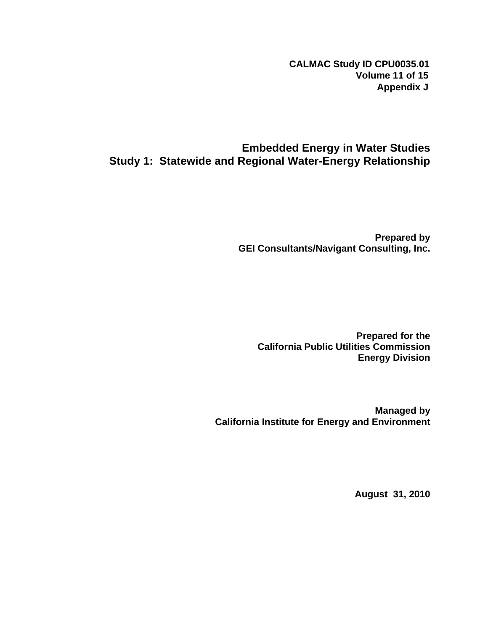**CALMAC Study ID CPU0035.01 Volume 11 of 15 Appendix J**

## **Embedded Energy in Water Studies Study 1: Statewide and Regional Water-Energy Relationship**

**Prepared by GEI Consultants/Navigant Consulting, Inc.** 

**Prepared for the California Public Utilities Commission Energy Division** 

**Managed by California Institute for Energy and Environment** 

**August 31, 2010**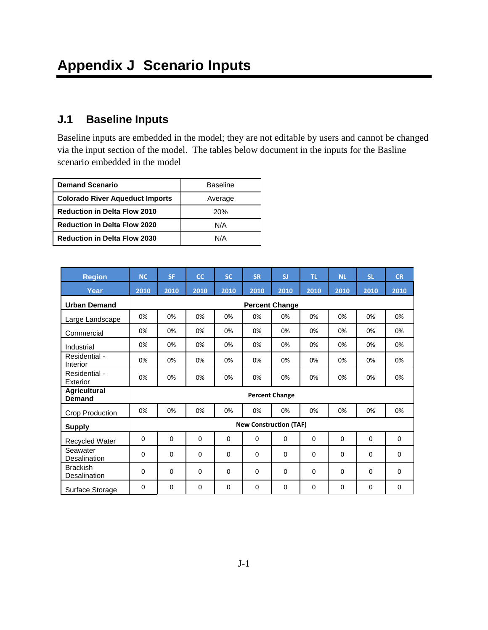## **J.1 Baseline Inputs**

Baseline inputs are embedded in the model; they are not editable by users and cannot be changed via the input section of the model. The tables below document in the inputs for the Basline scenario embedded in the model

| <b>Demand Scenario</b>                 | <b>Baseline</b> |
|----------------------------------------|-----------------|
| <b>Colorado River Aqueduct Imports</b> | Average         |
| <b>Reduction in Delta Flow 2010</b>    | 20%             |
| <b>Reduction in Delta Flow 2020</b>    | N/A             |
| <b>Reduction in Delta Flow 2030</b>    | N/A             |

| <b>Region</b>                          | <b>NC</b>             | <b>SF</b>   | <b>CC</b> | <b>SC</b> | <b>SR</b>                     | SI          | TL.         | <b>NL</b> | <b>SL</b> | <b>CR</b>   |  |  |  |  |  |
|----------------------------------------|-----------------------|-------------|-----------|-----------|-------------------------------|-------------|-------------|-----------|-----------|-------------|--|--|--|--|--|
| Year                                   | 2010                  | 2010        | 2010      | 2010      | 2010                          | 2010        | 2010        | 2010      | 2010      | 2010        |  |  |  |  |  |
| <b>Urban Demand</b>                    | <b>Percent Change</b> |             |           |           |                               |             |             |           |           |             |  |  |  |  |  |
| Large Landscape                        | 0%                    | 0%          | 0%        | 0%        | 0%                            | 0%          | 0%          | 0%        | 0%        | 0%          |  |  |  |  |  |
| Commercial                             | 0%                    | 0%          | 0%        | 0%        | 0%                            | 0%          | 0%          | 0%        | 0%        | 0%          |  |  |  |  |  |
| Industrial                             | 0%                    | 0%          | 0%        | 0%        | 0%                            | 0%          | 0%          | 0%        | 0%        | 0%          |  |  |  |  |  |
| Residential -<br>Interior              | 0%                    | 0%          | 0%        | 0%        | 0%                            | 0%          | 0%          | 0%        | 0%        | 0%          |  |  |  |  |  |
| Residential -<br>Exterior              | 0%                    | 0%          | 0%        | 0%        | 0%<br>0%                      |             | 0%          | 0%        | 0%        | 0%          |  |  |  |  |  |
| <b>Agricultural</b><br><b>Demand</b>   | <b>Percent Change</b> |             |           |           |                               |             |             |           |           |             |  |  |  |  |  |
| Crop Production                        | 0%                    | 0%          | 0%        | 0%        | 0%                            | 0%          | 0%          | 0%        | 0%        | 0%          |  |  |  |  |  |
| <b>Supply</b>                          |                       |             |           |           | <b>New Construction (TAF)</b> |             |             |           |           |             |  |  |  |  |  |
| <b>Recycled Water</b>                  | 0                     | $\Omega$    | 0         | $\Omega$  | $\Omega$                      | $\Omega$    | $\Omega$    | $\Omega$  | $\Omega$  | $\Omega$    |  |  |  |  |  |
| Seawater<br>Desalination               | 0                     | $\Omega$    | $\Omega$  | $\Omega$  | $\Omega$                      | $\Omega$    | $\Omega$    | $\Omega$  | $\Omega$  | 0           |  |  |  |  |  |
| <b>Brackish</b><br><b>Desalination</b> | 0                     | $\mathbf 0$ | 0         | 0         | $\mathbf 0$                   | $\mathbf 0$ | $\mathbf 0$ | 0         | 0         | $\mathbf 0$ |  |  |  |  |  |
| Surface Storage                        | 0                     | $\Omega$    | 0         | $\Omega$  | $\Omega$                      | $\Omega$    | $\Omega$    | $\Omega$  | $\Omega$  | $\Omega$    |  |  |  |  |  |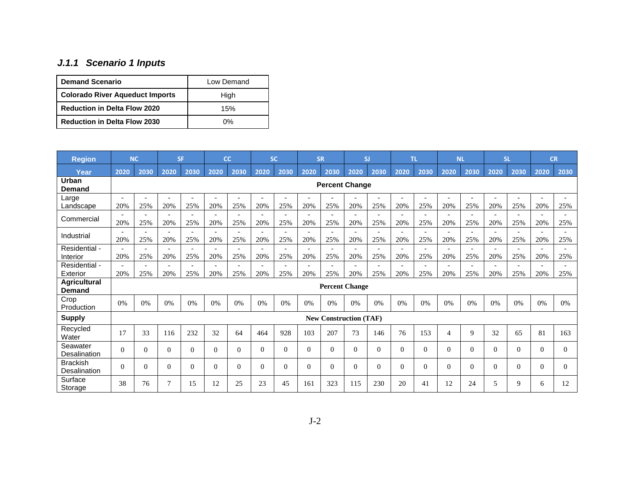## *J.1.1 Scenario 1 Inputs*

| <b>Demand Scenario</b>                 | Low Demand |
|----------------------------------------|------------|
| <b>Colorado River Aqueduct Imports</b> | High       |
| <b>Reduction in Delta Flow 2020</b>    | 15%        |
| <b>Reduction in Delta Flow 2030</b>    | ሰ%         |

| <b>Region</b>                        | <b>NC</b>                       |                                 | <b>SF</b>                       |                                 | cc                              |                                 | <b>SC</b>                       |          | <b>SR</b>                       |                                 | SJ                              |                                 | <b>TL</b>                       |                                 | <b>NL</b>                       |                                 | <b>SL</b>                       |                                 | <b>CR</b> |      |
|--------------------------------------|---------------------------------|---------------------------------|---------------------------------|---------------------------------|---------------------------------|---------------------------------|---------------------------------|----------|---------------------------------|---------------------------------|---------------------------------|---------------------------------|---------------------------------|---------------------------------|---------------------------------|---------------------------------|---------------------------------|---------------------------------|-----------|------|
| Year                                 | 2020                            | 2030                            | 2020                            | 2030                            | 2020                            | 2030                            | 2020                            | 2030     | 2020                            | 2030                            | 2020                            | 2030                            | 2020                            | 2030                            | 2020                            | 2030                            | 2020                            | 2030                            | 2020      | 2030 |
| Urban<br>Demand                      | <b>Percent Change</b>           |                                 |                                 |                                 |                                 |                                 |                                 |          |                                 |                                 |                                 |                                 |                                 |                                 |                                 |                                 |                                 |                                 |           |      |
| Large<br>Landscape                   | $\overline{\phantom{a}}$<br>20% | 25%                             | 20%                             | $\overline{a}$<br>25%           | 20%                             | 25%                             | 20%                             | 25%      | $\overline{a}$<br>20%           | 25%                             | 20%                             | $\overline{\phantom{a}}$<br>25% | $\overline{\phantom{a}}$<br>20% | 25%                             | $\overline{a}$<br>20%           | 25%                             | 20%                             | $\overline{\phantom{a}}$<br>25% | 20%       | 25%  |
| Commercial                           | 20%                             | 25%                             | $\overline{\phantom{a}}$<br>20% | 25%                             | 20%                             | 25%                             | 20%                             | 25%      | $\overline{a}$<br>20%           | 25%                             | 20%                             | $\overline{a}$<br>25%           | 20%                             | 25%                             | $\overline{\phantom{a}}$<br>20% | 25%                             | 20%                             | 25%                             | 20%       | 25%  |
| Industrial                           | 20%                             | 25%                             | 20%                             | 25%                             | 20%                             | 25%                             | 20%                             | 25%      | 20%                             | 25%                             | 20%                             | 25%                             | 20%                             | 25%                             | 20%                             | 25%                             | 20%                             | 25%                             | 20%       | 25%  |
| Residential -<br>Interior            | 20%                             | $\overline{\phantom{a}}$<br>25% | $\overline{\phantom{a}}$<br>20% | $\overline{\phantom{0}}$<br>25% | $\overline{\phantom{a}}$<br>20% | $\overline{\phantom{a}}$<br>25% | $\overline{\phantom{a}}$<br>20% | 25%      | $\overline{\phantom{a}}$<br>20% | $\overline{\phantom{a}}$<br>25% | $\overline{\phantom{0}}$<br>20% | $\overline{\phantom{0}}$<br>25% | $\overline{\phantom{a}}$<br>20% | $\overline{\phantom{a}}$<br>25% | $\overline{\phantom{a}}$<br>20% | $\overline{\phantom{a}}$<br>25% | $\overline{\phantom{0}}$<br>20% | $\overline{\phantom{a}}$<br>25% | 20%       | 25%  |
| Residential -<br>Exterior            | 20%                             | 25%                             | $\overline{\phantom{a}}$<br>20% | 25%                             | ۰<br>20%                        | $\overline{\phantom{a}}$<br>25% | $\overline{a}$<br>20%           | 25%      | $\overline{a}$<br>20%           | $\overline{\phantom{a}}$<br>25% | 20%                             | $\overline{\phantom{a}}$<br>25% | $\overline{\phantom{0}}$<br>20% | 25%                             | $\overline{\phantom{0}}$<br>20% | 25%                             | $\overline{\phantom{a}}$<br>20% | $\overline{\phantom{a}}$<br>25% | 20%       | 25%  |
| <b>Agricultural</b><br><b>Demand</b> |                                 |                                 |                                 |                                 |                                 |                                 |                                 |          |                                 |                                 | <b>Percent Change</b>           |                                 |                                 |                                 |                                 |                                 |                                 |                                 |           |      |
| Crop<br>Production                   | 0%                              | 0%                              | 0%                              | 0%                              | 0%                              | 0%                              | 0%                              | 0%       | 0%                              | 0%                              | 0%                              | 0%                              | 0%                              | 0%                              | 0%                              | 0%                              | 0%                              | 0%                              | 0%        | 0%   |
| <b>Supply</b>                        |                                 |                                 |                                 |                                 |                                 |                                 |                                 |          |                                 |                                 | <b>New Construction (TAF)</b>   |                                 |                                 |                                 |                                 |                                 |                                 |                                 |           |      |
| Recycled<br>Water                    | 17                              | 33                              | 116                             | 232                             | 32                              | 64                              | 464                             | 928      | 103                             | 207                             | 73                              | 146                             | 76                              | 153                             | $\overline{4}$                  | 9                               | 32                              | 65                              | 81        | 163  |
| Seawater<br>Desalination             | $\theta$                        | $\Omega$                        | $\Omega$                        | $\Omega$                        | $\Omega$                        | $\Omega$                        | $\Omega$                        | 0        | $\overline{0}$                  | $\Omega$                        | $\Omega$                        | $\overline{0}$                  | $\Omega$                        | $\Omega$                        | $\mathbf{0}$                    | $\Omega$                        | 0                               | $\theta$                        | $\Omega$  | 0    |
| <b>Brackish</b><br>Desalination      | $\Omega$                        | $\theta$                        | $\Omega$                        | $\Omega$                        | $\Omega$                        | $\Omega$                        | $\Omega$                        | $\Omega$ | $\overline{0}$                  | $\Omega$                        | $\Omega$                        | $\overline{0}$                  | $\Omega$                        | $\Omega$                        | $\theta$                        | $\Omega$                        | 0                               | $\theta$                        | $\Omega$  | 0    |
| Surface<br>Storage                   | 38                              | 76                              | $\tau$                          | 15                              | 12                              | 25                              | 23                              | 45       | 161                             | 323                             | 115                             | 230                             | 20                              | 41                              | 12                              | 24                              | 5                               | 9                               | 6         | 12   |